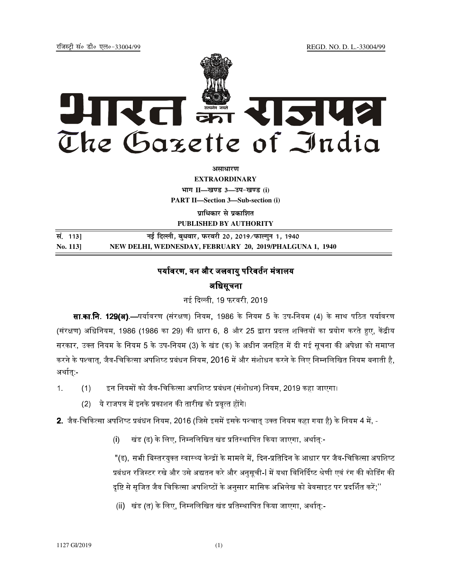jftLVªh laö Mhö ,yö&33004@99 REGD. NO. D. L.-33004/99



*<u>aurentur</u>* 

**EXTRAORDINARY Hkkx II—[k.M 3—mi&[k.M (i) PART II—Section 3—Sub-section (i)** 

**प्राधिकार से प्रकाशित PUBLISHED BY AUTHORITY**

**la- 113] ubZ fnYyh] cq/okj] iQjojh 20] 2019@iQkYxqu 1] 1940 No. 113] NEW DELHI, WEDNESDAY, FEBRUARY 20, 2019/PHALGUNA 1, 1940**

## पर्यावरण. वन और जलवाय परिवर्तन मंत्रालय अधिसूचना

नई दिल्ली, 19 फरवरी, 2019

**सा.का.नि. 129(अ).**—पर्यावरण (संरक्षण) नियम. 1986 के नियम 5 के उप-नियम (4) के साथ पठित पर्यावरण (संरक्षण) अधिनियम, 1986 (1986 का 29) की धारा 6, 8 और 25 द्वारा प्रदत्त शक्तियों का प्रयोग करते हुए, केंद्रीय सरकार, उक्त नियम के नियम 5 के उप-नियम (3) के खंड (क) के अधीन जनहित में दी गई सचना की अपेक्षा को समाप्त करने के पश्चात, जैव-चिकित्सा अपशिष्ट प्रबंधन नियम, 2016 में और संशोधन करने के लिए निम्नलिखित नियम बनाती है, अर्थात -

- 1. (1) इन नियमों को जैव-चिकित्सा अपशिष्ट प्रबंधन (संशोधन) नियम. 2019 कहा जाएगा।
	- (2) ये राजपत्र में इनके प्रकाशन की तारीख को प्रवत्त होंगे।
- **2**. जैव-चिकित्सा अपशिष्ट प्रबंधन नियम. 2016 (जिसे इसमें इसके पश्चात उक्त नियम कहा गया है) के नियम 4 में. -
	- (i) खंड (ढ) के लिए, निम्नलिखित खंड प्रतिस्थापित किया जाएगा, अर्थात:-

"(ढ), सभी बिस्तरयक्त स्वास्थ्य केन्द्रों के मामले में, दिन-प्रतिदिन के आधार पर जैव-चिकित्सा अपशिष्ट प्रबंधन रजिस्टर रखे और उसे अद्यतन करे और अनसची-l में यथा विनिर्दिष्ट श्रेणी एवं रंग की कोडिंग की दृष्टि से सृजित जैव चिकित्सा अपशिष्टों के अनुसार मासिक अभिलेख को बेवसाइट पर प्रदर्शित करें;''

(ii) खंड (त) के लिए. निम्नलिखित खंड प्रतिस्थापित किया जाएगा. अर्थात:-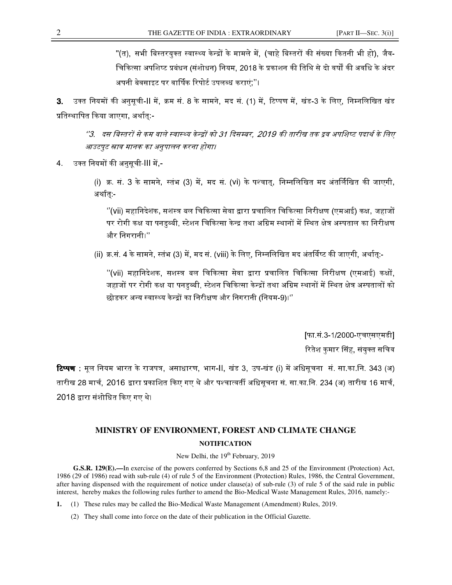"(त), सभी बिस्तरयक्त स्वास्थ्य केन्द्रों के मामले में. (चाहे बिस्तरों की संख्या कितनी भी हो), जैव-चिकित्सा अपशिष्ट प्रबंधन (संशोधन) नियम. 2018 के प्रकाशन की तिथि से दो वर्षों की अवधि के अंदर अपनी बेवसाइट पर वार्षिक रिपोर्ट उपलब्ध कराएं:''।

**3**. उक्त नियमों की अनसची-II में, क्रम सं. 8 के सामने, मद सं. (1) में, टिप्पण में, खंड-3 के लिए, निम्नलिखित खंड प्रतिस्थापित किया जाएगा. अर्थात:-

''3. दस बिस्तरों से कम वाले स्वास्थ्य केन्द्रों को 31 दिसम्बर, 2019 की तारीख तक द्रव अपशिष्ट पदार्थ के लिए  $\overline{ }$ आउटपट स्नाव मानक का अनुपालन करना होगा।

4. 2\* िन +%I78-III 0,-

(i) क्र. सं. 3 के सामने, स्तंभ (3) में, मद सं. (vi) के पश्चात, निम्नलिखित मद अंतर्लिखित की जाएगी, अर्थात -

 $^{\prime\prime}$ (vii) महानिदेशक, सशस्त्र बल चिकित्सा सेवा द्वारा प्रचालित चिकित्सा निरीक्षण (एमआई) कक्ष. जहाजों पर रोगी कक्ष या पनडब्बी. स्टेशन चिकित्सा केन्द्र तथा अग्रिम स्थानों में स्थित क्षेत्र अस्पताल का निरीक्षण और िनगरानी।''

(ii) क्र.सं. 4 के सामने, स्तंभ (3) में, मद सं. (viii) के लिए, निम्नलिखित मद अंतर्विष्ट की जाएगी, अर्थातु:-

''(vii) महानिदेशक, सशस्त्र बल चिकित्सा सेवा द्वारा प्रचालित चिकित्सा निरीक्षण (एमआई) कक्षों. जहाजों पर रोगी कक्ष या पनडब्बी. स्टेशन चिकित्सा केन्द्रों तथा अग्रिम स्थानों में स्थित क्षेत्र अस्पतालों को छोडकर अन्य स्वास्थ्य केन्द्रों का निरीक्षण और निगरानी (नियम-9)।''

> [फा.सं.3-1/2000-एचएसएमडी] रितेश कमार सिंह, संयक्त सचिव

**टिप्पण :** मल नियम भारत के राजपत्र, असाधारण, भाग-II, खंड 3, उप-खंड (i) में अधिसचना सं, सा.का.नि, 343 (अ) तारीख 28 मार्च, 2016 द्वारा प्रकाशित किए गए थे और पश्चात्वर्ती अधिसूचना सं. सा.का.नि. 234 (अ) तारीख 16 मार्च, 2018 द्वारा संशोधित किए गए थे।

## **MINISTRY OF ENVIRONMENT, FOREST AND CLIMATE CHANGE NOTIFICATION**

New Delhi, the  $19<sup>th</sup>$  February, 2019

**G.S.R. 129(E).—**In exercise of the powers conferred by Sections 6,8 and 25 of the Environment (Protection) Act, 1986 (29 of 1986) read with sub-rule (4) of rule 5 of the Environment (Protection) Rules, 1986, the Central Government, after having dispensed with the requirement of notice under clause(a) of sub-rule (3) of rule 5 of the said rule in public interest, hereby makes the following rules further to amend the Bio-Medical Waste Management Rules, 2016, namely:-

**1.** (1) These rules may be called the Bio-Medical Waste Management (Amendment) Rules, 2019.

(2) They shall come into force on the date of their publication in the Official Gazette.